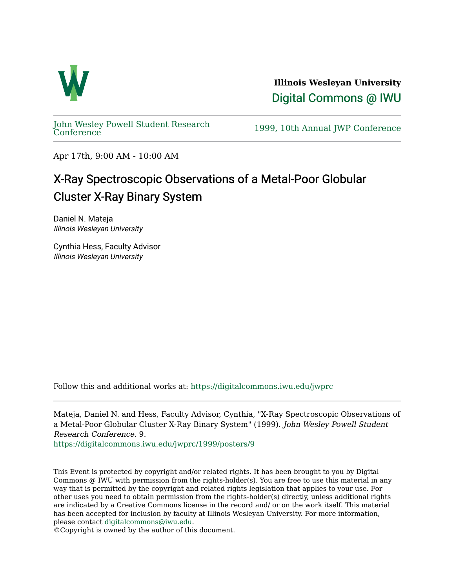

**Illinois Wesleyan University**  [Digital Commons @ IWU](https://digitalcommons.iwu.edu/) 

[John Wesley Powell Student Research](https://digitalcommons.iwu.edu/jwprc) 

1999, 10th Annual JWP [Conference](https://digitalcommons.iwu.edu/jwprc)

Apr 17th, 9:00 AM - 10:00 AM

## X-Ray Spectroscopic Observations of a Metal-Poor Globular Cluster X-Ray Binary System

Daniel N. Mateja Illinois Wesleyan University

Cynthia Hess, Faculty Advisor Illinois Wesleyan University

Follow this and additional works at: [https://digitalcommons.iwu.edu/jwprc](https://digitalcommons.iwu.edu/jwprc?utm_source=digitalcommons.iwu.edu%2Fjwprc%2F1999%2Fposters%2F9&utm_medium=PDF&utm_campaign=PDFCoverPages) 

Mateja, Daniel N. and Hess, Faculty Advisor, Cynthia, "X-Ray Spectroscopic Observations of a Metal-Poor Globular Cluster X-Ray Binary System" (1999). John Wesley Powell Student Research Conference. 9.

[https://digitalcommons.iwu.edu/jwprc/1999/posters/9](https://digitalcommons.iwu.edu/jwprc/1999/posters/9?utm_source=digitalcommons.iwu.edu%2Fjwprc%2F1999%2Fposters%2F9&utm_medium=PDF&utm_campaign=PDFCoverPages) 

This Event is protected by copyright and/or related rights. It has been brought to you by Digital Commons @ IWU with permission from the rights-holder(s). You are free to use this material in any way that is permitted by the copyright and related rights legislation that applies to your use. For other uses you need to obtain permission from the rights-holder(s) directly, unless additional rights are indicated by a Creative Commons license in the record and/ or on the work itself. This material has been accepted for inclusion by faculty at Illinois Wesleyan University. For more information, please contact [digitalcommons@iwu.edu.](mailto:digitalcommons@iwu.edu)

©Copyright is owned by the author of this document.